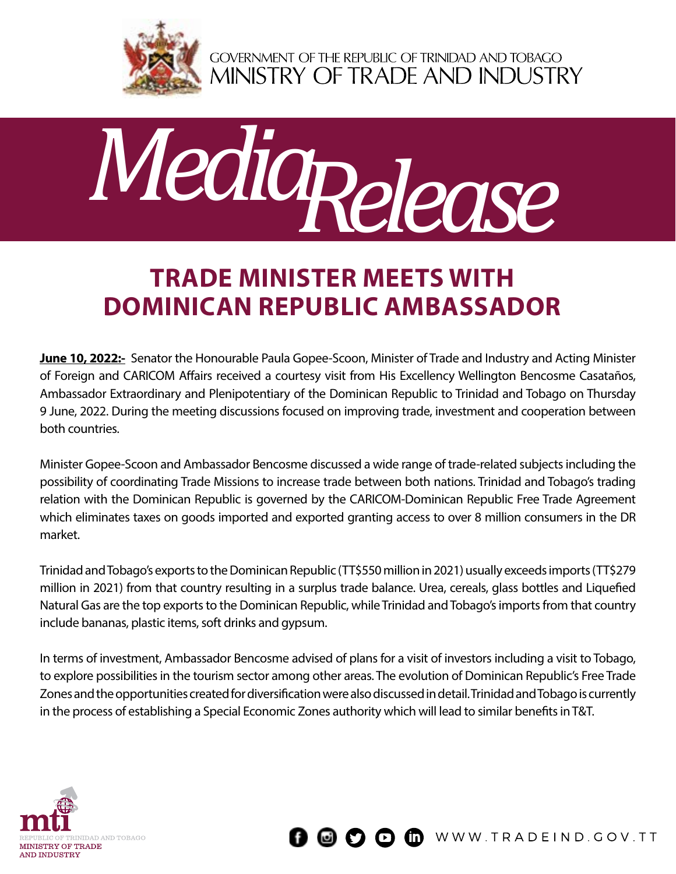

GOVERNMENT OF THE REPUBLIC OF TRINIDAD AND TOBAGO<br>MINISTRY OF TRADE AND INDUSTRY



## **TRADE MINISTER MEETS WITH DOMINICAN REPUBLIC AMBASSADOR**

**June 10, 2022:-** Senator the Honourable Paula Gopee-Scoon, Minister of Trade and Industry and Acting Minister of Foreign and CARICOM Affairs received a courtesy visit from His Excellency Wellington Bencosme Casataños, Ambassador Extraordinary and Plenipotentiary of the Dominican Republic to Trinidad and Tobago on Thursday 9 June, 2022. During the meeting discussions focused on improving trade, investment and cooperation between both countries.

Minister Gopee-Scoon and Ambassador Bencosme discussed a wide range of trade-related subjects including the possibility of coordinating Trade Missions to increase trade between both nations. Trinidad and Tobago's trading relation with the Dominican Republic is governed by the CARICOM-Dominican Republic Free Trade Agreement which eliminates taxes on goods imported and exported granting access to over 8 million consumers in the DR market.

Trinidad and Tobago's exports to the Dominican Republic (TT\$550 million in 2021) usually exceeds imports (TT\$279 million in 2021) from that country resulting in a surplus trade balance. Urea, cereals, glass bottles and Liquefied Natural Gas are the top exports to the Dominican Republic, while Trinidad and Tobago's imports from that country include bananas, plastic items, soft drinks and gypsum.

In terms of investment, Ambassador Bencosme advised of plans for a visit of investors including a visit to Tobago, to explore possibilities in the tourism sector among other areas. The evolution of Dominican Republic's Free Trade Zones and the opportunities created for diversification were also discussed in detail. Trinidad and Tobago is currently in the process of establishing a Special Economic Zones authority which will lead to similar benefits in T&T.